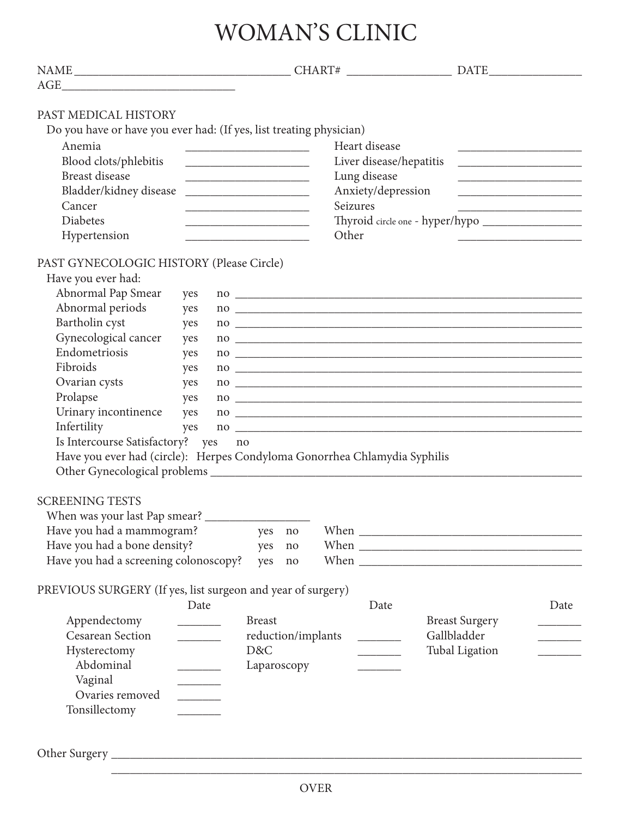# WOMAN'S CLINIC

| PAST MEDICAL HISTORY                                                      |                                                                                         |                                                                                                                       |          |                         |                                                                                                                                                                                                                                                                                                                                                                          |                                                                                                                       |
|---------------------------------------------------------------------------|-----------------------------------------------------------------------------------------|-----------------------------------------------------------------------------------------------------------------------|----------|-------------------------|--------------------------------------------------------------------------------------------------------------------------------------------------------------------------------------------------------------------------------------------------------------------------------------------------------------------------------------------------------------------------|-----------------------------------------------------------------------------------------------------------------------|
| Do you have or have you ever had: (If yes, list treating physician)       |                                                                                         |                                                                                                                       |          |                         |                                                                                                                                                                                                                                                                                                                                                                          |                                                                                                                       |
| Anemia                                                                    |                                                                                         |                                                                                                                       |          | Heart disease           |                                                                                                                                                                                                                                                                                                                                                                          |                                                                                                                       |
| Blood clots/phlebitis                                                     |                                                                                         |                                                                                                                       |          | Liver disease/hepatitis |                                                                                                                                                                                                                                                                                                                                                                          | the control of the control of the control of                                                                          |
| <b>Breast disease</b>                                                     |                                                                                         |                                                                                                                       |          | Lung disease            |                                                                                                                                                                                                                                                                                                                                                                          |                                                                                                                       |
| Bladder/kidney disease                                                    |                                                                                         | <u> 1990 - Johann Barbara, martin amerikan basal dan berasal dan berasal dalam basal dalam basal dalam basal dala</u> |          | Anxiety/depression      |                                                                                                                                                                                                                                                                                                                                                                          | <u> 1989 - Johann Barbara, martin amerikan basar dan berasal dalam basar dalam basar dalam basar dalam basar dala</u> |
| Cancer                                                                    |                                                                                         |                                                                                                                       | Seizures |                         |                                                                                                                                                                                                                                                                                                                                                                          |                                                                                                                       |
| <b>Diabetes</b><br>Hypertension                                           |                                                                                         | the control of the control of the control of the control of the control of                                            | Other    |                         |                                                                                                                                                                                                                                                                                                                                                                          |                                                                                                                       |
|                                                                           |                                                                                         |                                                                                                                       |          |                         |                                                                                                                                                                                                                                                                                                                                                                          |                                                                                                                       |
| PAST GYNECOLOGIC HISTORY (Please Circle)                                  |                                                                                         |                                                                                                                       |          |                         |                                                                                                                                                                                                                                                                                                                                                                          |                                                                                                                       |
| Have you ever had:                                                        |                                                                                         |                                                                                                                       |          |                         |                                                                                                                                                                                                                                                                                                                                                                          |                                                                                                                       |
| Abnormal Pap Smear                                                        | yes                                                                                     |                                                                                                                       |          |                         |                                                                                                                                                                                                                                                                                                                                                                          |                                                                                                                       |
| Abnormal periods                                                          | yes                                                                                     |                                                                                                                       |          |                         | $100$ $\frac{1}{2}$ $\frac{1}{2}$ $\frac{1}{2}$ $\frac{1}{2}$ $\frac{1}{2}$ $\frac{1}{2}$ $\frac{1}{2}$ $\frac{1}{2}$ $\frac{1}{2}$ $\frac{1}{2}$ $\frac{1}{2}$ $\frac{1}{2}$ $\frac{1}{2}$ $\frac{1}{2}$ $\frac{1}{2}$ $\frac{1}{2}$ $\frac{1}{2}$ $\frac{1}{2}$ $\frac{1}{2}$ $\frac{1}{2}$ $\frac{1}{2}$ $\frac{1$                                                    |                                                                                                                       |
| Bartholin cyst                                                            | yes                                                                                     |                                                                                                                       |          |                         |                                                                                                                                                                                                                                                                                                                                                                          |                                                                                                                       |
| Gynecological cancer<br>Endometriosis                                     | yes                                                                                     |                                                                                                                       |          |                         | $\overline{100}$                                                                                                                                                                                                                                                                                                                                                         |                                                                                                                       |
| Fibroids                                                                  | yes<br>yes                                                                              |                                                                                                                       |          |                         |                                                                                                                                                                                                                                                                                                                                                                          |                                                                                                                       |
| Ovarian cysts                                                             | yes                                                                                     |                                                                                                                       |          |                         | $\overline{100}$ $\overline{100}$ $\overline{100}$ $\overline{100}$ $\overline{100}$ $\overline{100}$ $\overline{100}$ $\overline{100}$ $\overline{100}$ $\overline{100}$ $\overline{100}$ $\overline{100}$ $\overline{100}$ $\overline{100}$ $\overline{100}$ $\overline{100}$ $\overline{100}$ $\overline{100}$ $\overline{100}$ $\overline{100}$<br>$\frac{100}{200}$ |                                                                                                                       |
| Prolapse                                                                  | yes                                                                                     |                                                                                                                       |          |                         | $\frac{100}{200}$                                                                                                                                                                                                                                                                                                                                                        |                                                                                                                       |
| Urinary incontinence                                                      | yes                                                                                     |                                                                                                                       |          |                         | $\overline{100}$                                                                                                                                                                                                                                                                                                                                                         |                                                                                                                       |
| Infertility                                                               | yes                                                                                     |                                                                                                                       |          |                         |                                                                                                                                                                                                                                                                                                                                                                          |                                                                                                                       |
| Is Intercourse Satisfactory? yes                                          | no                                                                                      |                                                                                                                       |          |                         |                                                                                                                                                                                                                                                                                                                                                                          |                                                                                                                       |
| Have you ever had (circle): Herpes Condyloma Gonorrhea Chlamydia Syphilis |                                                                                         |                                                                                                                       |          |                         |                                                                                                                                                                                                                                                                                                                                                                          |                                                                                                                       |
|                                                                           |                                                                                         |                                                                                                                       |          |                         |                                                                                                                                                                                                                                                                                                                                                                          |                                                                                                                       |
| <b>SCREENING TESTS</b>                                                    |                                                                                         |                                                                                                                       |          |                         |                                                                                                                                                                                                                                                                                                                                                                          |                                                                                                                       |
| When was your last Pap smear? _______                                     |                                                                                         |                                                                                                                       |          |                         |                                                                                                                                                                                                                                                                                                                                                                          |                                                                                                                       |
| Have you had a mammogram?                                                 |                                                                                         | yes<br>no                                                                                                             |          |                         |                                                                                                                                                                                                                                                                                                                                                                          |                                                                                                                       |
| Have you had a bone density?                                              |                                                                                         | yes<br>no                                                                                                             |          |                         |                                                                                                                                                                                                                                                                                                                                                                          |                                                                                                                       |
| Have you had a screening colonoscopy?                                     |                                                                                         | yes<br>no                                                                                                             |          |                         |                                                                                                                                                                                                                                                                                                                                                                          |                                                                                                                       |
| PREVIOUS SURGERY (If yes, list surgeon and year of surgery)               |                                                                                         |                                                                                                                       |          |                         |                                                                                                                                                                                                                                                                                                                                                                          |                                                                                                                       |
|                                                                           | Date                                                                                    |                                                                                                                       |          | Date                    |                                                                                                                                                                                                                                                                                                                                                                          | Date                                                                                                                  |
| Appendectomy                                                              | $\mathcal{L}^{\text{max}}_{\text{max}}$ , where $\mathcal{L}^{\text{max}}_{\text{max}}$ | <b>Breast</b>                                                                                                         |          |                         | <b>Breast Surgery</b>                                                                                                                                                                                                                                                                                                                                                    |                                                                                                                       |
| <b>Cesarean Section</b>                                                   | $\overline{\phantom{a}}$                                                                | reduction/implants                                                                                                    |          |                         | Gallbladder                                                                                                                                                                                                                                                                                                                                                              |                                                                                                                       |
| Hysterectomy                                                              |                                                                                         | D&C                                                                                                                   |          |                         | <b>Tubal Ligation</b>                                                                                                                                                                                                                                                                                                                                                    | <u> 1999 - Jan Jan Jawa</u>                                                                                           |
| Abdominal                                                                 |                                                                                         | Laparoscopy                                                                                                           |          |                         |                                                                                                                                                                                                                                                                                                                                                                          |                                                                                                                       |
| Vaginal                                                                   |                                                                                         |                                                                                                                       |          |                         |                                                                                                                                                                                                                                                                                                                                                                          |                                                                                                                       |
| Ovaries removed                                                           | $\overline{\phantom{a}}$                                                                |                                                                                                                       |          |                         |                                                                                                                                                                                                                                                                                                                                                                          |                                                                                                                       |
| Tonsillectomy                                                             |                                                                                         |                                                                                                                       |          |                         |                                                                                                                                                                                                                                                                                                                                                                          |                                                                                                                       |
|                                                                           |                                                                                         |                                                                                                                       |          |                         |                                                                                                                                                                                                                                                                                                                                                                          |                                                                                                                       |
|                                                                           |                                                                                         |                                                                                                                       |          |                         |                                                                                                                                                                                                                                                                                                                                                                          |                                                                                                                       |
|                                                                           |                                                                                         |                                                                                                                       |          |                         |                                                                                                                                                                                                                                                                                                                                                                          |                                                                                                                       |